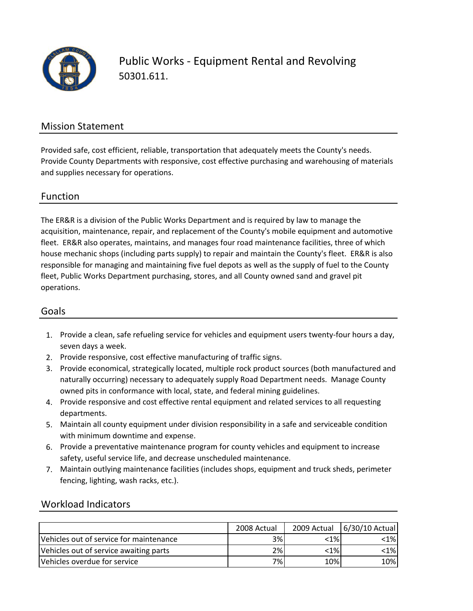

### Mission Statement

Provided safe, cost efficient, reliable, transportation that adequately meets the County's needs. Provide County Departments with responsive, cost effective purchasing and warehousing of materials and supplies necessary for operations.

#### Function

The ER&R is a division of the Public Works Department and is required by law to manage the acquisition, maintenance, repair, and replacement of the County's mobile equipment and automotive fleet. ER&R also operates, maintains, and manages four road maintenance facilities, three of which house mechanic shops (including parts supply) to repair and maintain the County's fleet. ER&R is also responsible for managing and maintaining five fuel depots as well as the supply of fuel to the County fleet, Public Works Department purchasing, stores, and all County owned sand and gravel pit operations.

#### Goals

- 1. Provide a clean, safe refueling service for vehicles and equipment users twenty‐four hours a day, seven days a week.
- 2. Provide responsive, cost effective manufacturing of traffic signs.
- 3. Provide economical, strategically located, multiple rock product sources (both manufactured and naturally occurring) necessary to adequately supply Road Department needs. Manage County owned pits in conformance with local, state, and federal mining guidelines.
- 4. Provide responsive and cost effective rental equipment and related services to all requesting departments.
- 5. Maintain all county equipment under division responsibility in a safe and serviceable condition with minimum downtime and expense.
- 6. Provide a preventative maintenance program for county vehicles and equipment to increase safety, useful service life, and decrease unscheduled maintenance.
- 7. Maintain outlying maintenance facilities (includes shops, equipment and truck sheds, perimeter fencing, lighting, wash racks, etc.).

### Workload Indicators

|                                         | 2008 Actual |            | 2009 Actual   6/30/10 Actual |
|-----------------------------------------|-------------|------------|------------------------------|
| Vehicles out of service for maintenance | 3%          | <1%        | <1%l                         |
| Vehicles out of service awaiting parts  | 2%          | $\leq 1\%$ | $\leq$ 1%                    |
| Vehicles overdue for service            | 7%l         | 10%        | 10%                          |